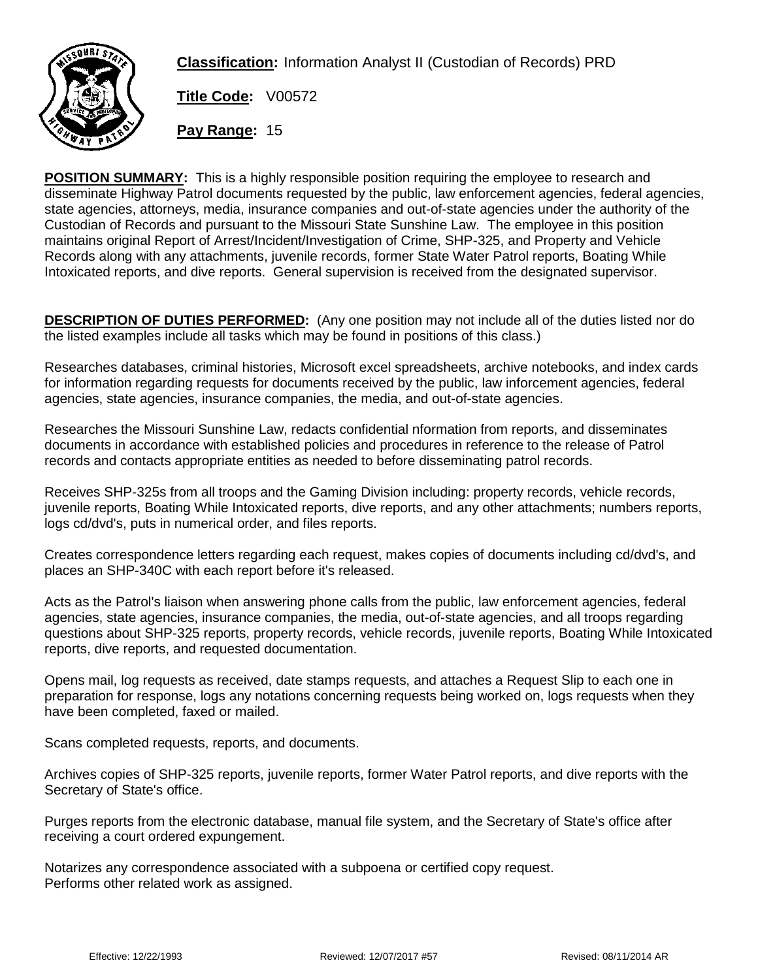

**Classification:** Information Analyst II (Custodian of Records) PRD

**Title Code:** V00572

**Pay Range:** 15

**POSITION SUMMARY:** This is a highly responsible position requiring the employee to research and disseminate Highway Patrol documents requested by the public, law enforcement agencies, federal agencies, state agencies, attorneys, media, insurance companies and out-of-state agencies under the authority of the Custodian of Records and pursuant to the Missouri State Sunshine Law. The employee in this position maintains original Report of Arrest/Incident/Investigation of Crime, SHP-325, and Property and Vehicle Records along with any attachments, juvenile records, former State Water Patrol reports, Boating While Intoxicated reports, and dive reports. General supervision is received from the designated supervisor.

**DESCRIPTION OF DUTIES PERFORMED:** (Any one position may not include all of the duties listed nor do the listed examples include all tasks which may be found in positions of this class.)

Researches databases, criminal histories, Microsoft excel spreadsheets, archive notebooks, and index cards for information regarding requests for documents received by the public, law inforcement agencies, federal agencies, state agencies, insurance companies, the media, and out-of-state agencies.

Researches the Missouri Sunshine Law, redacts confidential nformation from reports, and disseminates documents in accordance with established policies and procedures in reference to the release of Patrol records and contacts appropriate entities as needed to before disseminating patrol records.

Receives SHP-325s from all troops and the Gaming Division including: property records, vehicle records, juvenile reports, Boating While Intoxicated reports, dive reports, and any other attachments; numbers reports, logs cd/dvd's, puts in numerical order, and files reports.

Creates correspondence letters regarding each request, makes copies of documents including cd/dvd's, and places an SHP-340C with each report before it's released.

Acts as the Patrol's liaison when answering phone calls from the public, law enforcement agencies, federal agencies, state agencies, insurance companies, the media, out-of-state agencies, and all troops regarding questions about SHP-325 reports, property records, vehicle records, juvenile reports, Boating While Intoxicated reports, dive reports, and requested documentation.

Opens mail, log requests as received, date stamps requests, and attaches a Request Slip to each one in preparation for response, logs any notations concerning requests being worked on, logs requests when they have been completed, faxed or mailed.

Scans completed requests, reports, and documents.

Archives copies of SHP-325 reports, juvenile reports, former Water Patrol reports, and dive reports with the Secretary of State's office.

Purges reports from the electronic database, manual file system, and the Secretary of State's office after receiving a court ordered expungement.

Notarizes any correspondence associated with a subpoena or certified copy request. Performs other related work as assigned.